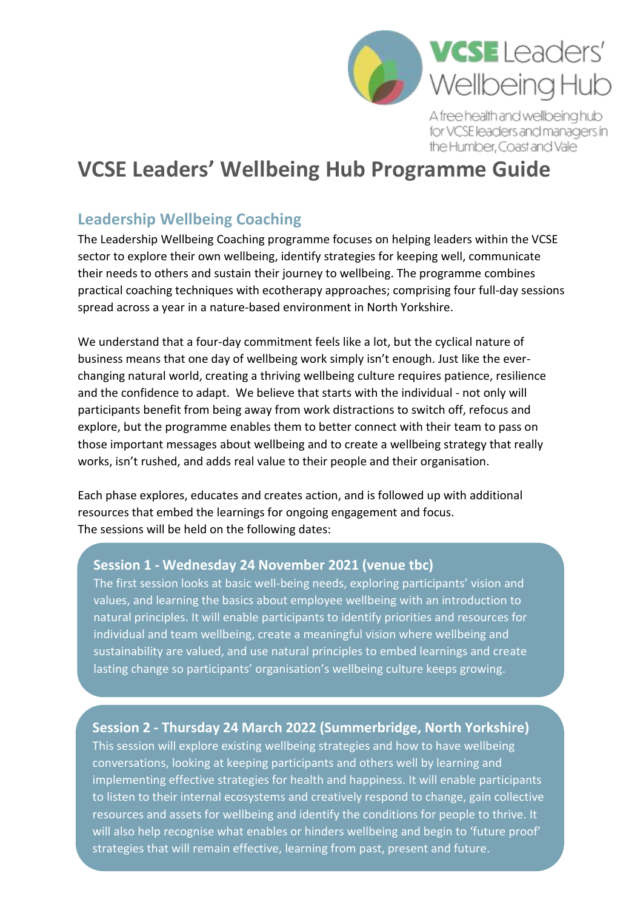

A free health and wellbeing hub for VCSE leaders and managers in the Humber, Coast and Vale

# **VCSE Leaders' Wellbeing Hub Programme Guide**

# **Leadership Wellbeing Coaching**

The Leadership Wellbeing Coaching programme focuses on helping leaders within the VCSE sector to explore their own wellbeing, identify strategies for keeping well, communicate their needs to others and sustain their journey to wellbeing. The programme combines practical coaching techniques with ecotherapy approaches; comprising four full-day sessions spread across a year in a nature-based environment in North Yorkshire.

We understand that a four-day commitment feels like a lot, but the cyclical nature of business means that one day of wellbeing work simply isn't enough. Just like the everchanging natural world, creating a thriving wellbeing culture requires patience, resilience and the confidence to adapt. We believe that starts with the individual - not only will participants benefit from being away from work distractions to switch off, refocus and explore, but the programme enables them to better connect with their team to pass on those important messages about wellbeing and to create a wellbeing strategy that really works, isn't rushed, and adds real value to their people and their organisation.

Each phase explores, educates and creates action, and is followed up with additional resources that embed the learnings for ongoing engagement and focus. The sessions will be held on the following dates:

### **Session 1 - Wednesday 24 November 2021 (venue tbc)**

The first session looks at basic well-being needs, exploring participants' vision and values, and learning the basics about employee wellbeing with an introduction to natural principles. It will enable participants to identify priorities and resources for individual and team wellbeing, create a meaningful vision where wellbeing and sustainability are valued, and use natural principles to embed learnings and create lasting change so participants' organisation's wellbeing culture keeps growing.

**Session 2 - Thursday 24 March 2022 (Summerbridge, North Yorkshire)**

This session will explore existing wellbeing strategies and how to have wellbeing conversations, looking at keeping participants and others well by learning and implementing effective strategies for health and happiness. It will enable participants to listen to their internal ecosystems and creatively respond to change, gain collective resources and assets for wellbeing and identify the conditions for people to thrive. It will also help recognise what enables or hinders wellbeing and begin to 'future proof' strategies that will remain effective, learning from past, present and future.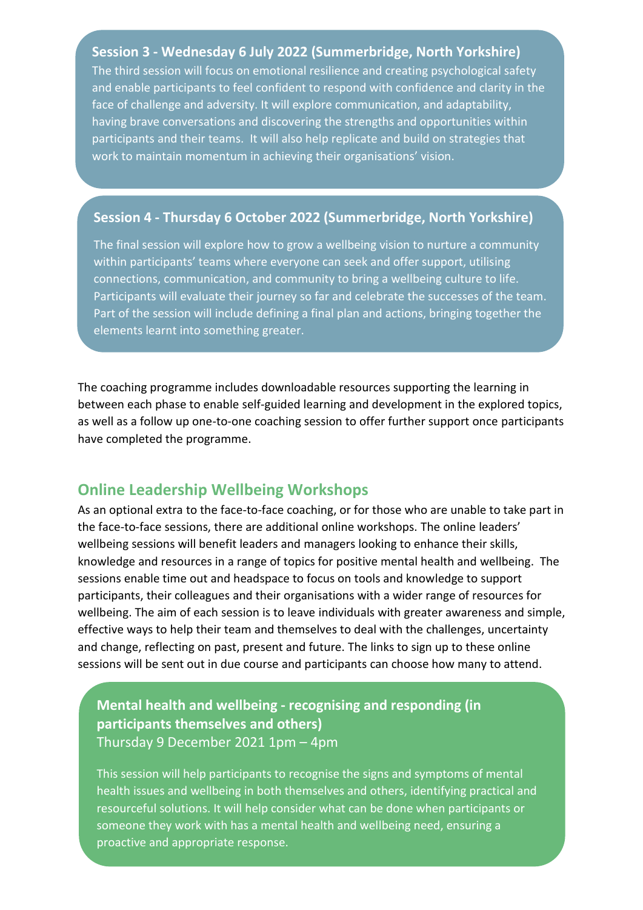**Session 3 - Wednesday 6 July 2022 (Summerbridge, North Yorkshire)** The third session will focus on emotional resilience and creating psychological safety and enable participants to feel confident to respond with confidence and clarity in the face of challenge and adversity. It will explore communication, and adaptability, having brave conversations and discovering the strengths and opportunities within participants and their teams. It will also help replicate and build on strategies that work to maintain momentum in achieving their organisations' vision.

#### **Session 4 - Thursday 6 October 2022 (Summerbridge, North Yorkshire)**

The final session will explore how to grow a wellbeing vision to nurture a community within participants' teams where everyone can seek and offer support, utilising connections, communication, and community to bring a wellbeing culture to life. Participants will evaluate their journey so far and celebrate the successes of the team. Part of the session will include defining a final plan and actions, bringing together the elements learnt into something greater.

The coaching programme includes downloadable resources supporting the learning in between each phase to enable self-guided learning and development in the explored topics, as well as a follow up one-to-one coaching session to offer further support once participants have completed the programme.

### **Online Leadership Wellbeing Workshops**

As an optional extra to the face-to-face coaching, or for those who are unable to take part in the face-to-face sessions, there are additional online workshops. The online leaders' wellbeing sessions will benefit leaders and managers looking to enhance their skills, knowledge and resources in a range of topics for positive mental health and wellbeing. The sessions enable time out and headspace to focus on tools and knowledge to support participants, their colleagues and their organisations with a wider range of resources for wellbeing. The aim of each session is to leave individuals with greater awareness and simple, effective ways to help their team and themselves to deal with the challenges, uncertainty and change, reflecting on past, present and future. The links to sign up to these online sessions will be sent out in due course and participants can choose how many to attend.

# **Mental health and wellbeing - recognising and responding (in participants themselves and others)** Thursday 9 December 2021 1pm – 4pm

This session will help participants to recognise the signs and symptoms of mental health issues and wellbeing in both themselves and others, identifying practical and resourceful solutions. It will help consider what can be done when participants or someone they work with has a mental health and wellbeing need, ensuring a proactive and appropriate response.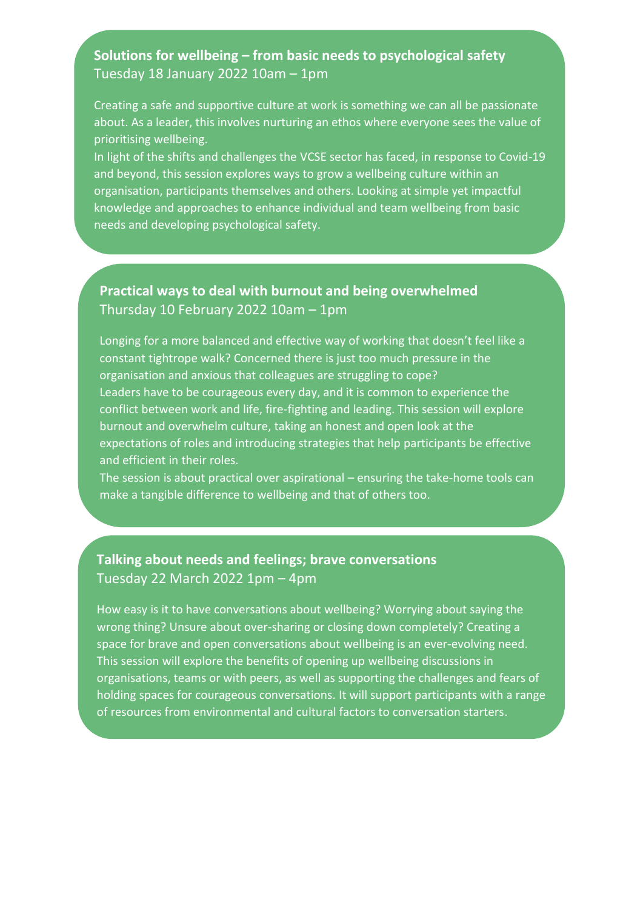## **Solutions for wellbeing – from basic needs to psychological safety** Tuesday 18 January 2022 10am – 1pm

Creating a safe and supportive culture at work is something we can all be passionate about. As a leader, this involves nurturing an ethos where everyone sees the value of prioritising wellbeing.

In light of the shifts and challenges the VCSE sector has faced, in response to Covid-19 and beyond, this session explores ways to grow a wellbeing culture within an organisation, participants themselves and others. Looking at simple yet impactful knowledge and approaches to enhance individual and team wellbeing from basic needs and developing psychological safety.

## **Practical ways to deal with burnout and being overwhelmed** Thursday 10 February 2022 10am – 1pm

Longing for a more balanced and effective way of working that doesn't feel like a constant tightrope walk? Concerned there is just too much pressure in the organisation and anxious that colleagues are struggling to cope? Leaders have to be courageous every day, and it is common to experience the conflict between work and life, fire-fighting and leading. This session will explore burnout and overwhelm culture, taking an honest and open look at the expectations of roles and introducing strategies that help participants be effective and efficient in their roles.

The session is about practical over aspirational – ensuring the take-home tools can make a tangible difference to wellbeing and that of others too.

### **Talking about needs and feelings; brave conversations**  Tuesday 22 March 2022 1pm – 4pm

How easy is it to have conversations about wellbeing? Worrying about saying the wrong thing? Unsure about over-sharing or closing down completely? Creating a space for brave and open conversations about wellbeing is an ever-evolving need. This session will explore the benefits of opening up wellbeing discussions in organisations, teams or with peers, as well as supporting the challenges and fears of holding spaces for courageous conversations. It will support participants with a range of resources from environmental and cultural factors to conversation starters.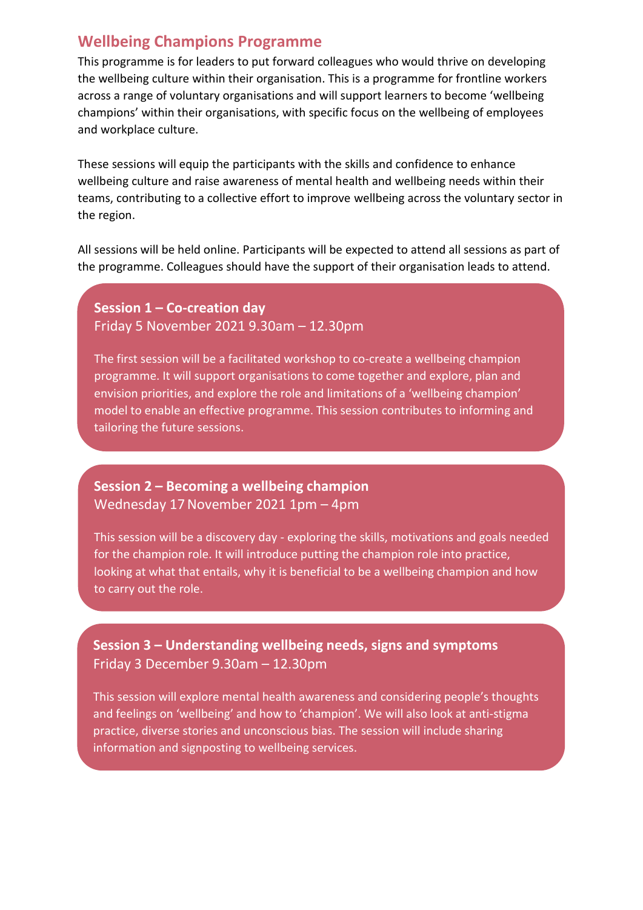# **Wellbeing Champions Programme**

This programme is for leaders to put forward colleagues who would thrive on developing the wellbeing culture within their organisation. This is a programme for frontline workers across a range of voluntary organisations and will support learners to become 'wellbeing champions' within their organisations, with specific focus on the wellbeing of employees and workplace culture.

These sessions will equip the participants with the skills and confidence to enhance wellbeing culture and raise awareness of mental health and wellbeing needs within their teams, contributing to a collective effort to improve wellbeing across the voluntary sector in the region.

All sessions will be held online. Participants will be expected to attend all sessions as part of the programme. Colleagues should have the support of their organisation leads to attend.

**Session 1 – Co-creation day** Friday 5 November 2021 9.30am – 12.30pm

The first session will be a facilitated workshop to co-create a wellbeing champion programme. It will support organisations to come together and explore, plan and envision priorities, and explore the role and limitations of a 'wellbeing champion' model to enable an effective programme. This session contributes to informing and tailoring the future sessions.

### **Session 2 – Becoming a wellbeing champion** Wednesday 17November 2021 1pm – 4pm

This session will be a discovery day - exploring the skills, motivations and goals needed for the champion role. It will introduce putting the champion role into practice, looking at what that entails, why it is beneficial to be a wellbeing champion and how to carry out the role.

**Session 3 – Understanding wellbeing needs, signs and symptoms** Friday 3 December 9.30am – 12.30pm

This session will explore mental health awareness and considering people's thoughts and feelings on 'wellbeing' and how to 'champion'. We will also look at anti-stigma practice, diverse stories and unconscious bias. The session will include sharing information and signposting to wellbeing services.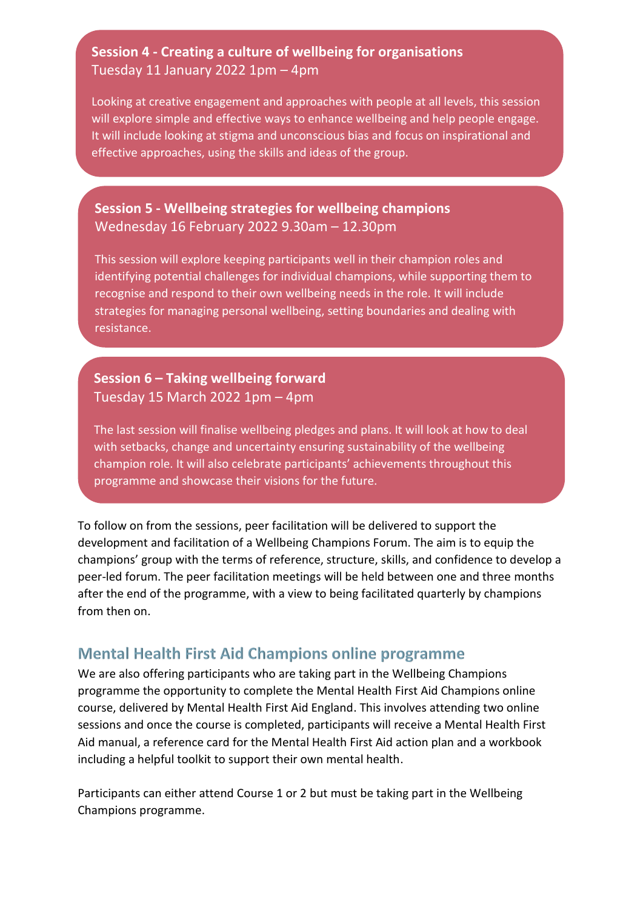# **Session 4 - Creating a culture of wellbeing for organisations** Tuesday 11 January 2022 1pm – 4pm

Looking at creative engagement and approaches with people at all levels, this session will explore simple and effective ways to enhance wellbeing and help people engage. It will include looking at stigma and unconscious bias and focus on inspirational and effective approaches, using the skills and ideas of the group.

# **Session 5 - Wellbeing strategies for wellbeing champions**  Wednesday 16 February 2022 9.30am – 12.30pm

This session will explore keeping participants well in their champion roles and identifying potential challenges for individual champions, while supporting them to recognise and respond to their own wellbeing needs in the role. It will include strategies for managing personal wellbeing, setting boundaries and dealing with resistance.

# **Session 6 – Taking wellbeing forward** Tuesday 15 March 2022 1pm – 4pm

The last session will finalise wellbeing pledges and plans. It will look at how to deal with setbacks, change and uncertainty ensuring sustainability of the wellbeing champion role. It will also celebrate participants' achievements throughout this programme and showcase their visions for the future.

To follow on from the sessions, peer facilitation will be delivered to support the development and facilitation of a Wellbeing Champions Forum. The aim is to equip the champions' group with the terms of reference, structure, skills, and confidence to develop a peer-led forum. The peer facilitation meetings will be held between one and three months after the end of the programme, with a view to being facilitated quarterly by champions from then on.

# **Mental Health First Aid Champions online programme**

We are also offering participants who are taking part in the Wellbeing Champions programme the opportunity to complete the Mental Health First Aid Champions online course, delivered by Mental Health First Aid England. This involves attending two online sessions and once the course is completed, participants will receive a Mental Health First Aid manual, a reference card for the Mental Health First Aid action plan and a workbook including a helpful toolkit to support their own mental health.

Participants can either attend Course 1 or 2 but must be taking part in the Wellbeing Champions programme.